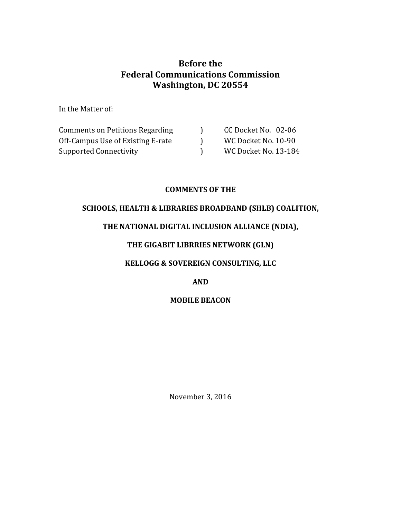# **Before** the **Federal Communications Commission Washington, DC 20554**

In the Matter of:

| <b>Comments on Petitions Regarding</b> | CC Docket No. 02-06  |
|----------------------------------------|----------------------|
| Off-Campus Use of Existing E-rate      | WC Docket No. 10-90  |
| Supported Connectivity                 | WC Docket No. 13-184 |

### **COMMENTS OF THE**

### SCHOOLS, HEALTH & LIBRARIES BROADBAND (SHLB) COALITION,

## THE NATIONAL DIGITAL INCLUSION ALLIANCE (NDIA),

## **THE GIGABIT LIBRRIES NETWORK (GLN)**

## **KELLOGG & SOVEREIGN CONSULTING, LLC**

## **AND**

## **MOBILE BEACON**

November 3, 2016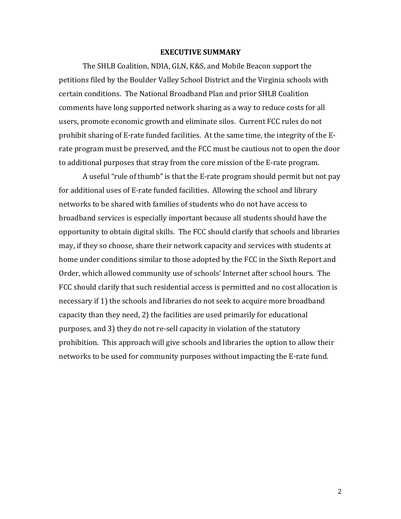#### **EXECUTIVE SUMMARY**

The SHLB Coalition, NDIA, GLN, K&S, and Mobile Beacon support the petitions filed by the Boulder Valley School District and the Virginia schools with certain conditions. The National Broadband Plan and prior SHLB Coalition comments have long supported network sharing as a way to reduce costs for all users, promote economic growth and eliminate silos. Current FCC rules do not prohibit sharing of E-rate funded facilities. At the same time, the integrity of the Erate program must be preserved, and the FCC must be cautious not to open the door to additional purposes that stray from the core mission of the E-rate program.

A useful "rule of thumb" is that the E-rate program should permit but not pay for additional uses of E-rate funded facilities. Allowing the school and library networks to be shared with families of students who do not have access to broadband services is especially important because all students should have the opportunity to obtain digital skills. The FCC should clarify that schools and libraries may, if they so choose, share their network capacity and services with students at home under conditions similar to those adopted by the FCC in the Sixth Report and Order, which allowed community use of schools' Internet after school hours. The FCC should clarify that such residential access is permitted and no cost allocation is necessary if 1) the schools and libraries do not seek to acquire more broadband capacity than they need, 2) the facilities are used primarily for educational purposes, and 3) they do not re-sell capacity in violation of the statutory prohibition. This approach will give schools and libraries the option to allow their networks to be used for community purposes without impacting the E-rate fund.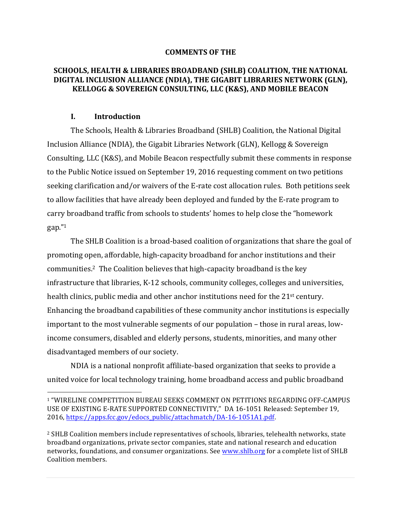#### **COMMENTS OF THE**

### **SCHOOLS, HEALTH & LIBRARIES BROADBAND (SHLB) COALITION, THE NATIONAL DIGITAL INCLUSION ALLIANCE (NDIA), THE GIGABIT LIBRARIES NETWORK (GLN), KELLOGG & SOVEREIGN CONSULTING, LLC (K&S), AND MOBILE BEACON**

#### **I. Introduction**

The Schools, Health & Libraries Broadband (SHLB) Coalition, the National Digital Inclusion Alliance (NDIA), the Gigabit Libraries Network (GLN), Kellogg & Sovereign Consulting, LLC (K&S), and Mobile Beacon respectfully submit these comments in response to the Public Notice issued on September 19, 2016 requesting comment on two petitions seeking clarification and/or waivers of the E-rate cost allocation rules. Both petitions seek to allow facilities that have already been deployed and funded by the E-rate program to carry broadband traffic from schools to students' homes to help close the "homework gap."1

The SHLB Coalition is a broad-based coalition of organizations that share the goal of promoting open, affordable, high-capacity broadband for anchor institutions and their communities.<sup>2</sup> The Coalition believes that high-capacity broadband is the key infrastructure that libraries, K-12 schools, community colleges, colleges and universities, health clinics, public media and other anchor institutions need for the  $21<sup>st</sup>$  century. Enhancing the broadband capabilities of these community anchor institutions is especially important to the most vulnerable segments of our population - those in rural areas, lowincome consumers, disabled and elderly persons, students, minorities, and many other disadvantaged members of our society.

NDIA is a national nonprofit affiliate-based organization that seeks to provide a united voice for local technology training, home broadband access and public broadband

 $\overline{a}$ 1 "WIRELINE COMPETITION BUREAU SEEKS COMMENT ON PETITIONS REGARDING OFF-CAMPUS USE OF EXISTING E-RATE SUPPORTED CONNECTIVITY," DA 16-1051 Released: September 19, 2016, https://apps.fcc.gov/edocs\_public/attachmatch/DA-16-1051A1.pdf.

<sup>&</sup>lt;sup>2</sup> SHLB Coalition members include representatives of schools, libraries, telehealth networks, state broadband organizations, private sector companies, state and national research and education networks, foundations, and consumer organizations. See www.shlb.org for a complete list of SHLB Coalition members.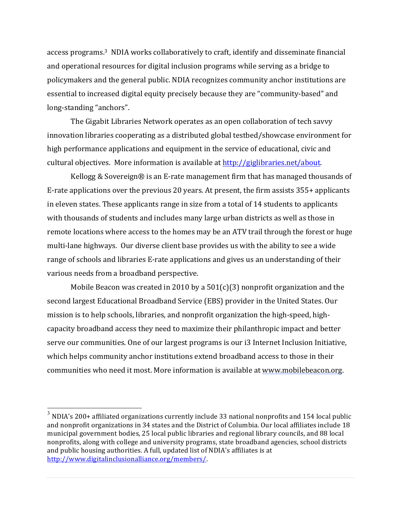access programs.<sup>3</sup> NDIA works collaboratively to craft, identify and disseminate financial and operational resources for digital inclusion programs while serving as a bridge to policymakers and the general public. NDIA recognizes community anchor institutions are essential to increased digital equity precisely because they are "community-based" and long-standing "anchors".

The Gigabit Libraries Network operates as an open collaboration of tech savvy innovation libraries cooperating as a distributed global testbed/showcase environment for high performance applications and equipment in the service of educational, civic and cultural objectives. More information is available at  $http://giglibraries.net/about.$ 

Kellogg & Sovereign $\circledR$  is an E-rate management firm that has managed thousands of E-rate applications over the previous 20 years. At present, the firm assists  $355+$  applicants in eleven states. These applicants range in size from a total of 14 students to applicants with thousands of students and includes many large urban districts as well as those in remote locations where access to the homes may be an ATV trail through the forest or huge multi-lane highways. Our diverse client base provides us with the ability to see a wide range of schools and libraries E-rate applications and gives us an understanding of their various needs from a broadband perspective.

Mobile Beacon was created in 2010 by a  $501(c)(3)$  nonprofit organization and the second largest Educational Broadband Service (EBS) provider in the United States. Our mission is to help schools, libraries, and nonprofit organization the high-speed, highcapacity broadband access they need to maximize their philanthropic impact and better serve our communities. One of our largest programs is our i3 Internet Inclusion Initiative, which helps community anchor institutions extend broadband access to those in their communities who need it most. More information is available at www.mobilebeacon.org.

 $3$  NDIA's 200+ affiliated organizations currently include 33 national nonprofits and 154 local public and nonprofit organizations in 34 states and the District of Columbia. Our local affiliates include 18 municipal government bodies, 25 local public libraries and regional library councils, and 88 local nonprofits, along with college and university programs, state broadband agencies, school districts and public housing authorities. A full, updated list of NDIA's affiliates is at http://www.digitalinclusionalliance.org/members/.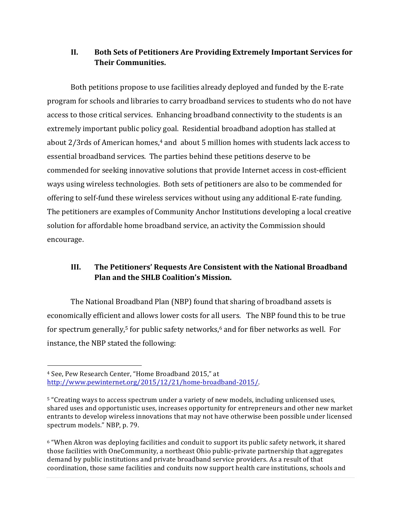## II. Both Sets of Petitioners Are Providing Extremely Important Services for **Their Communities.**

Both petitions propose to use facilities already deployed and funded by the E-rate program for schools and libraries to carry broadband services to students who do not have access to those critical services. Enhancing broadband connectivity to the students is an extremely important public policy goal. Residential broadband adoption has stalled at about  $2/3$ rds of American homes, $4$  and  $ab$ out 5 million homes with students lack access to essential broadband services. The parties behind these petitions deserve to be commended for seeking innovative solutions that provide Internet access in cost-efficient ways using wireless technologies. Both sets of petitioners are also to be commended for offering to self-fund these wireless services without using any additional E-rate funding. The petitioners are examples of Community Anchor Institutions developing a local creative solution for affordable home broadband service, an activity the Commission should encourage. 

# **III.** The Petitioners' Requests Are Consistent with the National Broadband **Plan and the SHLB Coalition's Mission.**

The National Broadband Plan (NBP) found that sharing of broadband assets is economically efficient and allows lower costs for all users. The NBP found this to be true for spectrum generally,<sup>5</sup> for public safety networks, $6$  and for fiber networks as well. For instance, the NBP stated the following:

 $\overline{a}$ 

<sup>&</sup>lt;sup>4</sup> See, Pew Research Center, "Home Broadband 2015," at http://www.pewinternet.org/2015/12/21/home-broadband-2015/. 

<sup>&</sup>lt;sup>5</sup> "Creating ways to access spectrum under a variety of new models, including unlicensed uses, shared uses and opportunistic uses, increases opportunity for entrepreneurs and other new market entrants to develop wireless innovations that may not have otherwise been possible under licensed spectrum models." NBP, p. 79.

 $6$  "When Akron was deploying facilities and conduit to support its public safety network, it shared those facilities with OneCommunity, a northeast Ohio public-private partnership that aggregates demand by public institutions and private broadband service providers. As a result of that coordination, those same facilities and conduits now support health care institutions, schools and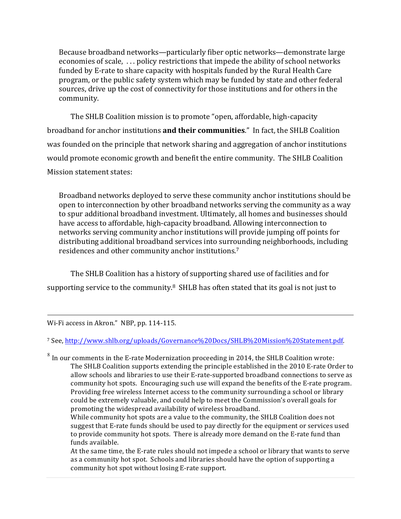Because broadband networks—particularly fiber optic networks—demonstrate large economies of scale, ... policy restrictions that impede the ability of school networks funded by E-rate to share capacity with hospitals funded by the Rural Health Care program, or the public safety system which may be funded by state and other federal sources, drive up the cost of connectivity for those institutions and for others in the community.

The SHLB Coalition mission is to promote "open, affordable, high-capacity broadband for anchor institutions **and their communities**." In fact, the SHLB Coalition was founded on the principle that network sharing and aggregation of anchor institutions would promote economic growth and benefit the entire community. The SHLB Coalition Mission statement states:

Broadband networks deployed to serve these community anchor institutions should be open to interconnection by other broadband networks serving the community as a way to spur additional broadband investment. Ultimately, all homes and businesses should have access to affordable, high-capacity broadband. Allowing interconnection to networks serving community anchor institutions will provide jumping off points for distributing additional broadband services into surrounding neighborhoods, including residences and other community anchor institutions.<sup>7</sup>

The SHLB Coalition has a history of supporting shared use of facilities and for supporting service to the community.<sup>8</sup> SHLB has often stated that its goal is not just to

Wi-Fi access in Akron." NBP, pp. 114-115.

 $\overline{a}$ 

<sup>7</sup> See, http://www.shlb.org/uploads/Governance%20Docs/SHLB%20Mission%20Statement.pdf. 

 $8\,$  In our comments in the E-rate Modernization proceeding in 2014, the SHLB Coalition wrote: The SHLB Coalition supports extending the principle established in the 2010 E-rate Order to allow schools and libraries to use their E-rate-supported broadband connections to serve as community hot spots. Encouraging such use will expand the benefits of the E-rate program. Providing free wireless Internet access to the community surrounding a school or library could be extremely valuable, and could help to meet the Commission's overall goals for promoting the widespread availability of wireless broadband.

While community hot spots are a value to the community, the SHLB Coalition does not suggest that E-rate funds should be used to pay directly for the equipment or services used to provide community hot spots. There is already more demand on the E-rate fund than funds available.

At the same time, the E-rate rules should not impede a school or library that wants to serve as a community hot spot. Schools and libraries should have the option of supporting a community hot spot without losing E-rate support.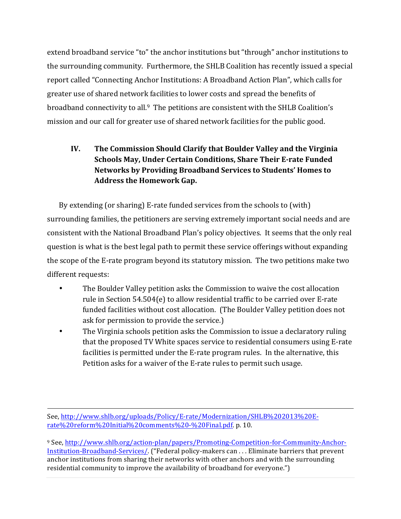extend broadband service "to" the anchor institutions but "through" anchor institutions to the surrounding community. Furthermore, the SHLB Coalition has recently issued a special report called "Connecting Anchor Institutions: A Broadband Action Plan", which calls for greater use of shared network facilities to lower costs and spread the benefits of broadband connectivity to all.<sup>9</sup> The petitions are consistent with the SHLB Coalition's mission and our call for greater use of shared network facilities for the public good.

# **IV.** The Commission Should Clarify that Boulder Valley and the Virginia **Schools May, Under Certain Conditions, Share Their E-rate Funded Networks by Providing Broadband Services to Students' Homes to** Address the Homework Gap.

By extending (or sharing) E-rate funded services from the schools to (with) surrounding families, the petitioners are serving extremely important social needs and are consistent with the National Broadband Plan's policy objectives. It seems that the only real question is what is the best legal path to permit these service offerings without expanding the scope of the E-rate program beyond its statutory mission. The two petitions make two different requests:

- The Boulder Valley petition asks the Commission to waive the cost allocation rule in Section  $54.504(e)$  to allow residential traffic to be carried over E-rate funded facilities without cost allocation. (The Boulder Valley petition does not ask for permission to provide the service.)
- The Virginia schools petition asks the Commission to issue a declaratory ruling that the proposed TV White spaces service to residential consumers using E-rate facilities is permitted under the E-rate program rules. In the alternative, this Petition asks for a waiver of the E-rate rules to permit such usage.

 $\overline{a}$ See, http://www.shlb.org/uploads/Policy/E-rate/Modernization/SHLB%202013%20Erate%20reform%20Initial%20comments%20-%20Final.pdf. p. 10.

<sup>9</sup> See, http://www.shlb.org/action-plan/papers/Promoting-Competition-for-Community-Anchor-Institution-Broadband-Services/. ("Federal policy-makers can ... Eliminate barriers that prevent anchor institutions from sharing their networks with other anchors and with the surrounding residential community to improve the availability of broadband for everyone.")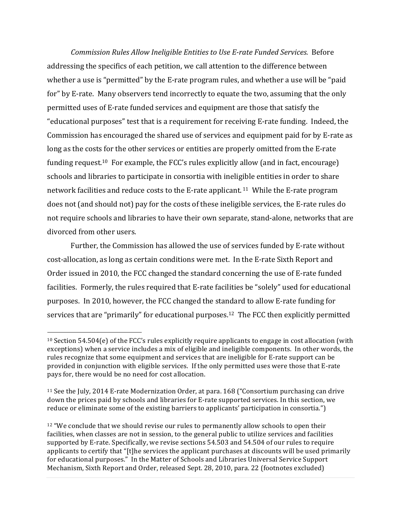*Commission Rules Allow Ineligible Entities to Use E-rate Funded Services.* Before addressing the specifics of each petition, we call attention to the difference between whether a use is "permitted" by the E-rate program rules, and whether a use will be "paid" for" by E-rate. Many observers tend incorrectly to equate the two, assuming that the only permitted uses of E-rate funded services and equipment are those that satisfy the "educational purposes" test that is a requirement for receiving E-rate funding. Indeed, the Commission has encouraged the shared use of services and equipment paid for by E-rate as long as the costs for the other services or entities are properly omitted from the E-rate funding request.<sup>10</sup> For example, the FCC's rules explicitly allow (and in fact, encourage) schools and libraries to participate in consortia with ineligible entities in order to share network facilities and reduce costs to the E-rate applicant.<sup>11</sup> While the E-rate program does not (and should not) pay for the costs of these ineligible services, the E-rate rules do not require schools and libraries to have their own separate, stand-alone, networks that are divorced from other users.

Further, the Commission has allowed the use of services funded by E-rate without cost-allocation, as long as certain conditions were met. In the E-rate Sixth Report and Order issued in 2010, the FCC changed the standard concerning the use of E-rate funded facilities. Formerly, the rules required that E-rate facilities be "solely" used for educational purposes. In 2010, however, the FCC changed the standard to allow E-rate funding for services that are "primarily" for educational purposes.<sup>12</sup> The FCC then explicitly permitted

 $\overline{a}$ 

 $10$  Section 54.504(e) of the FCC's rules explicitly require applicants to engage in cost allocation (with exceptions) when a service includes a mix of eligible and ineligible components. In other words, the rules recognize that some equipment and services that are ineligible for E-rate support can be provided in conjunction with eligible services. If the only permitted uses were those that E-rate pays for, there would be no need for cost allocation.

 $11$  See the July, 2014 E-rate Modernization Order, at para.  $168$  ("Consortium purchasing can drive down the prices paid by schools and libraries for E-rate supported services. In this section, we reduce or eliminate some of the existing barriers to applicants' participation in consortia.")

 $12$  "We conclude that we should revise our rules to permanently allow schools to open their facilities, when classes are not in session, to the general public to utilize services and facilities supported by E-rate. Specifically, we revise sections 54.503 and 54.504 of our rules to require applicants to certify that "[t]he services the applicant purchases at discounts will be used primarily for educational purposes." In the Matter of Schools and Libraries Universal Service Support Mechanism, Sixth Report and Order, released Sept. 28, 2010, para. 22 (footnotes excluded)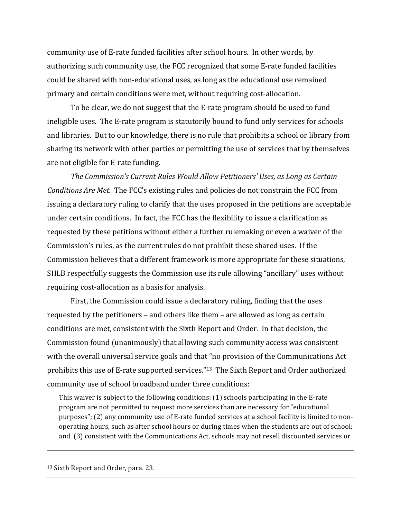community use of E-rate funded facilities after school hours. In other words, by authorizing such community use, the FCC recognized that some E-rate funded facilities could be shared with non-educational uses, as long as the educational use remained primary and certain conditions were met, without requiring cost-allocation.

To be clear, we do not suggest that the E-rate program should be used to fund ineligible uses. The E-rate program is statutorily bound to fund only services for schools and libraries. But to our knowledge, there is no rule that prohibits a school or library from sharing its network with other parties or permitting the use of services that by themselves are not eligible for E-rate funding.

The Commission's Current Rules Would Allow Petitioners' Uses, as Long as Certain *Conditions Are Met.* The FCC's existing rules and policies do not constrain the FCC from issuing a declaratory ruling to clarify that the uses proposed in the petitions are acceptable under certain conditions. In fact, the FCC has the flexibility to issue a clarification as requested by these petitions without either a further rulemaking or even a waiver of the Commission's rules, as the current rules do not prohibit these shared uses. If the Commission believes that a different framework is more appropriate for these situations, SHLB respectfully suggests the Commission use its rule allowing "ancillary" uses without requiring cost-allocation as a basis for analysis.

First, the Commission could issue a declaratory ruling, finding that the uses requested by the petitioners – and others like them – are allowed as long as certain conditions are met, consistent with the Sixth Report and Order. In that decision, the Commission found (unanimously) that allowing such community access was consistent with the overall universal service goals and that "no provision of the Communications Act prohibits this use of E-rate supported services."<sup>13</sup> The Sixth Report and Order authorized community use of school broadband under three conditions:

This waiver is subject to the following conditions:  $(1)$  schools participating in the E-rate program are not permitted to request more services than are necessary for "educational purposes"; (2) any community use of E-rate funded services at a school facility is limited to nonoperating hours, such as after school hours or during times when the students are out of school; and (3) consistent with the Communications Act, schools may not resell discounted services or

 $\overline{a}$ 

<sup>&</sup>lt;sup>13</sup> Sixth Report and Order, para. 23.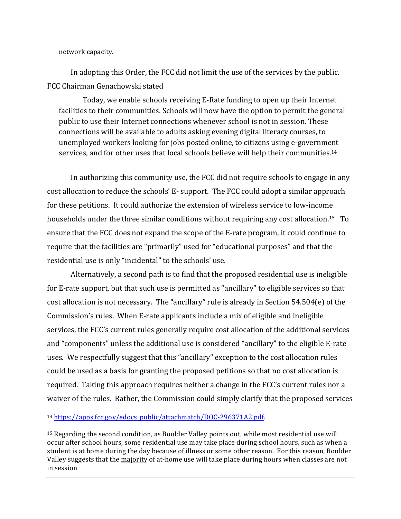network capacity.

 $\overline{a}$ 

In adopting this Order, the FCC did not limit the use of the services by the public. FCC Chairman Genachowski stated

Today, we enable schools receiving E-Rate funding to open up their Internet facilities to their communities. Schools will now have the option to permit the general public to use their Internet connections whenever school is not in session. These connections will be available to adults asking evening digital literacy courses, to unemployed workers looking for jobs posted online, to citizens using e-government services, and for other uses that local schools believe will help their communities.<sup>14</sup>

In authorizing this community use, the FCC did not require schools to engage in any cost allocation to reduce the schools' E- support. The FCC could adopt a similar approach for these petitions. It could authorize the extension of wireless service to low-income households under the three similar conditions without requiring any cost allocation.<sup>15</sup> To ensure that the FCC does not expand the scope of the E-rate program, it could continue to require that the facilities are "primarily" used for "educational purposes" and that the residential use is only "incidental" to the schools' use.

Alternatively, a second path is to find that the proposed residential use is ineligible for E-rate support, but that such use is permitted as "ancillary" to eligible services so that cost allocation is not necessary. The "ancillary" rule is already in Section  $54.504(e)$  of the Commission's rules. When E-rate applicants include a mix of eligible and ineligible services, the FCC's current rules generally require cost allocation of the additional services and "components" unless the additional use is considered "ancillary" to the eligible E-rate uses. We respectfully suggest that this "ancillary" exception to the cost allocation rules could be used as a basis for granting the proposed petitions so that no cost allocation is required. Taking this approach requires neither a change in the FCC's current rules nor a waiver of the rules. Rather, the Commission could simply clarify that the proposed services

<sup>14</sup> https://apps.fcc.gov/edocs\_public/attachmatch/DOC-296371A2.pdf. 

<sup>&</sup>lt;sup>15</sup> Regarding the second condition, as Boulder Valley points out, while most residential use will occur after school hours, some residential use may take place during school hours, such as when a student is at home during the day because of illness or some other reason. For this reason, Boulder Valley suggests that the majority of at-home use will take place during hours when classes are not in session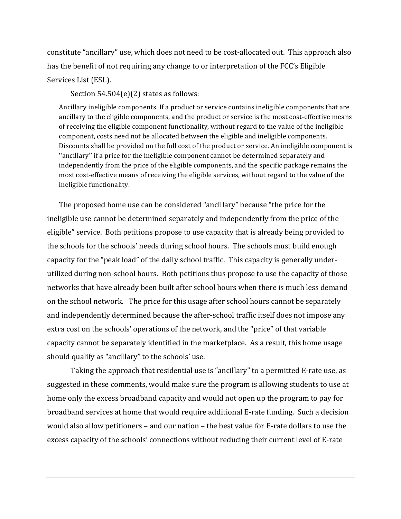constitute "ancillary" use, which does not need to be cost-allocated out. This approach also has the benefit of not requiring any change to or interpretation of the FCC's Eligible Services List (ESL).

Section  $54.504(e)(2)$  states as follows:

Ancillary ineligible components. If a product or service contains ineligible components that are ancillary to the eligible components, and the product or service is the most cost-effective means of receiving the eligible component functionality, without regard to the value of the ineligible component, costs need not be allocated between the eligible and ineligible components. Discounts shall be provided on the full cost of the product or service. An ineligible component is "ancillary" if a price for the ineligible component cannot be determined separately and independently from the price of the eligible components, and the specific package remains the most cost-effective means of receiving the eligible services, without regard to the value of the ineligible functionality.

The proposed home use can be considered "ancillary" because "the price for the ineligible use cannot be determined separately and independently from the price of the eligible" service. Both petitions propose to use capacity that is already being provided to the schools for the schools' needs during school hours. The schools must build enough capacity for the "peak load" of the daily school traffic. This capacity is generally underutilized during non-school hours. Both petitions thus propose to use the capacity of those networks that have already been built after school hours when there is much less demand on the school network. The price for this usage after school hours cannot be separately and independently determined because the after-school traffic itself does not impose any extra cost on the schools' operations of the network, and the "price" of that variable capacity cannot be separately identified in the marketplace. As a result, this home usage should qualify as "ancillary" to the schools' use.

Taking the approach that residential use is "ancillary" to a permitted E-rate use, as suggested in these comments, would make sure the program is allowing students to use at home only the excess broadband capacity and would not open up the program to pay for broadband services at home that would require additional E-rate funding. Such a decision would also allow petitioners – and our nation – the best value for E-rate dollars to use the excess capacity of the schools' connections without reducing their current level of E-rate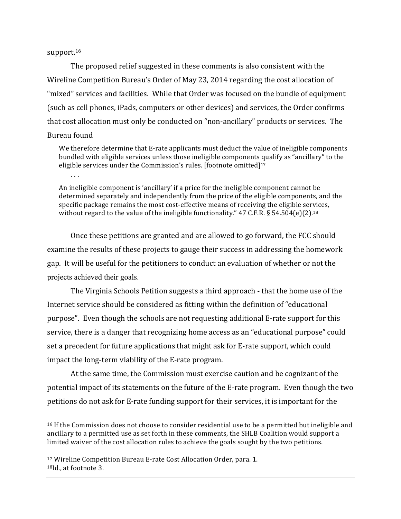#### support.<sup>16</sup>

The proposed relief suggested in these comments is also consistent with the Wireline Competition Bureau's Order of May 23, 2014 regarding the cost allocation of "mixed" services and facilities. While that Order was focused on the bundle of equipment (such as cell phones, iPads, computers or other devices) and services, the Order confirms that cost allocation must only be conducted on "non-ancillary" products or services. The Bureau found

#### We therefore determine that E-rate applicants must deduct the value of ineligible components bundled with eligible services unless those ineligible components qualify as "ancillary" to the eligible services under the Commission's rules. [footnote omitted] $17$

 $\ldots$ 

 $\overline{a}$ 

An ineligible component is 'ancillary' if a price for the ineligible component cannot be determined separately and independently from the price of the eligible components, and the specific package remains the most cost-effective means of receiving the eligible services, without regard to the value of the ineligible functionality."  $47$  C.F.R. § 54.504(e)(2).<sup>18</sup>

Once these petitions are granted and are allowed to go forward, the FCC should examine the results of these projects to gauge their success in addressing the homework gap. It will be useful for the petitioners to conduct an evaluation of whether or not the projects achieved their goals.

The Virginia Schools Petition suggests a third approach - that the home use of the Internet service should be considered as fitting within the definition of "educational" purpose". Even though the schools are not requesting additional E-rate support for this service, there is a danger that recognizing home access as an "educational purpose" could set a precedent for future applications that might ask for E-rate support, which could impact the long-term viability of the E-rate program.

At the same time, the Commission must exercise caution and be cognizant of the potential impact of its statements on the future of the E-rate program. Even though the two petitions do not ask for E-rate funding support for their services, it is important for the

<sup>&</sup>lt;sup>16</sup> If the Commission does not choose to consider residential use to be a permitted but ineligible and ancillary to a permitted use as set forth in these comments, the SHLB Coalition would support a limited waiver of the cost allocation rules to achieve the goals sought by the two petitions.

<sup>&</sup>lt;sup>17</sup> Wireline Competition Bureau E-rate Cost Allocation Order, para. 1. <sup>18</sup>Id., at footnote 3.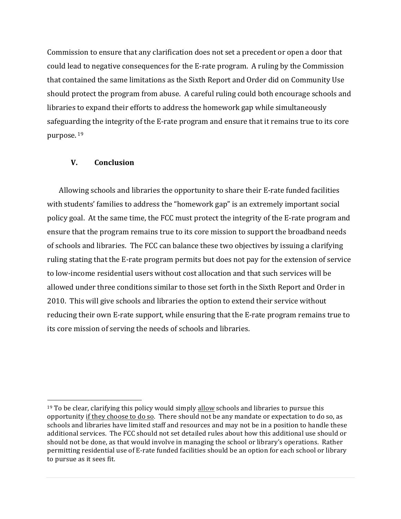Commission to ensure that any clarification does not set a precedent or open a door that could lead to negative consequences for the E-rate program. A ruling by the Commission that contained the same limitations as the Sixth Report and Order did on Community Use should protect the program from abuse. A careful ruling could both encourage schools and libraries to expand their efforts to address the homework gap while simultaneously safeguarding the integrity of the E-rate program and ensure that it remains true to its core purpose. <sup>19</sup>

### **V. Conclusion**

 $\overline{a}$ 

Allowing schools and libraries the opportunity to share their E-rate funded facilities with students' families to address the "homework gap" is an extremely important social policy goal. At the same time, the FCC must protect the integrity of the E-rate program and ensure that the program remains true to its core mission to support the broadband needs of schools and libraries. The FCC can balance these two objectives by issuing a clarifying ruling stating that the E-rate program permits but does not pay for the extension of service to low-income residential users without cost allocation and that such services will be allowed under three conditions similar to those set forth in the Sixth Report and Order in 2010. This will give schools and libraries the option to extend their service without reducing their own E-rate support, while ensuring that the E-rate program remains true to its core mission of serving the needs of schools and libraries.

 $19$  To be clear, clarifying this policy would simply allow schools and libraries to pursue this opportunity if they choose to do so. There should not be any mandate or expectation to do so, as schools and libraries have limited staff and resources and may not be in a position to handle these additional services. The FCC should not set detailed rules about how this additional use should or should not be done, as that would involve in managing the school or library's operations. Rather permitting residential use of E-rate funded facilities should be an option for each school or library to pursue as it sees fit.